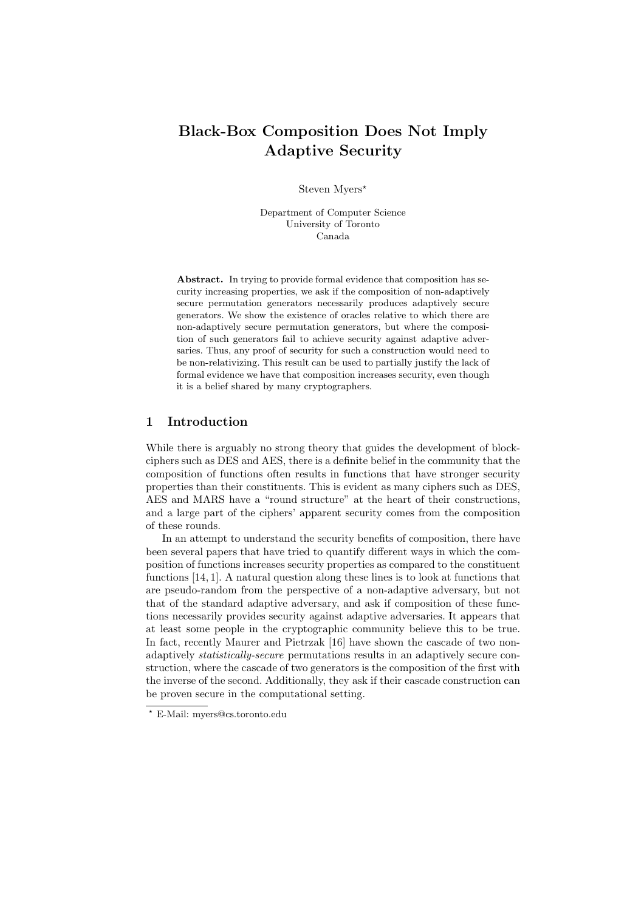# Black-Box Composition Does Not Imply Adaptive Security

Steven Myers\*

Department of Computer Science University of Toronto Canada

Abstract. In trying to provide formal evidence that composition has security increasing properties, we ask if the composition of non-adaptively secure permutation generators necessarily produces adaptively secure generators. We show the existence of oracles relative to which there are non-adaptively secure permutation generators, but where the composition of such generators fail to achieve security against adaptive adversaries. Thus, any proof of security for such a construction would need to be non-relativizing. This result can be used to partially justify the lack of formal evidence we have that composition increases security, even though it is a belief shared by many cryptographers.

## 1 Introduction

While there is arguably no strong theory that guides the development of blockciphers such as DES and AES, there is a definite belief in the community that the composition of functions often results in functions that have stronger security properties than their constituents. This is evident as many ciphers such as DES, AES and MARS have a "round structure" at the heart of their constructions, and a large part of the ciphers' apparent security comes from the composition of these rounds.

In an attempt to understand the security benefits of composition, there have been several papers that have tried to quantify different ways in which the composition of functions increases security properties as compared to the constituent functions [14, 1]. A natural question along these lines is to look at functions that are pseudo-random from the perspective of a non-adaptive adversary, but not that of the standard adaptive adversary, and ask if composition of these functions necessarily provides security against adaptive adversaries. It appears that at least some people in the cryptographic community believe this to be true. In fact, recently Maurer and Pietrzak [16] have shown the cascade of two nonadaptively statistically-secure permutations results in an adaptively secure construction, where the cascade of two generators is the composition of the first with the inverse of the second. Additionally, they ask if their cascade construction can be proven secure in the computational setting.

<sup>⋆</sup> E-Mail: myers@cs.toronto.edu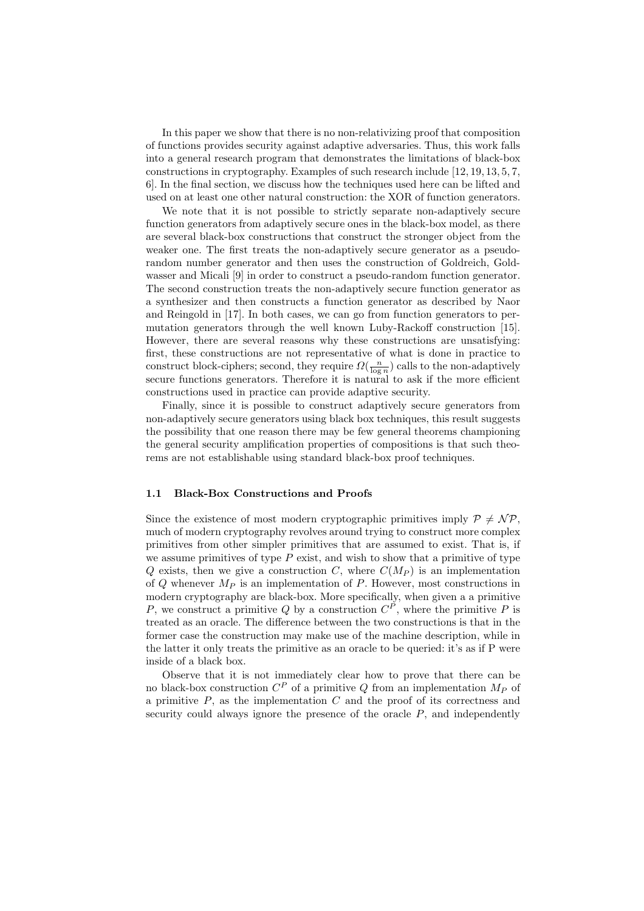In this paper we show that there is no non-relativizing proof that composition of functions provides security against adaptive adversaries. Thus, this work falls into a general research program that demonstrates the limitations of black-box constructions in cryptography. Examples of such research include [12, 19, 13, 5, 7, 6]. In the final section, we discuss how the techniques used here can be lifted and used on at least one other natural construction: the XOR of function generators.

We note that it is not possible to strictly separate non-adaptively secure function generators from adaptively secure ones in the black-box model, as there are several black-box constructions that construct the stronger object from the weaker one. The first treats the non-adaptively secure generator as a pseudorandom number generator and then uses the construction of Goldreich, Goldwasser and Micali [9] in order to construct a pseudo-random function generator. The second construction treats the non-adaptively secure function generator as a synthesizer and then constructs a function generator as described by Naor and Reingold in [17]. In both cases, we can go from function generators to permutation generators through the well known Luby-Rackoff construction [15]. However, there are several reasons why these constructions are unsatisfying: first, these constructions are not representative of what is done in practice to construct block-ciphers; second, they require  $\Omega(\frac{n}{\log n})$  calls to the non-adaptively secure functions generators. Therefore it is natural to ask if the more efficient constructions used in practice can provide adaptive security.

Finally, since it is possible to construct adaptively secure generators from non-adaptively secure generators using black box techniques, this result suggests the possibility that one reason there may be few general theorems championing the general security amplification properties of compositions is that such theorems are not establishable using standard black-box proof techniques.

#### 1.1 Black-Box Constructions and Proofs

Since the existence of most modern cryptographic primitives imply  $\mathcal{P} \neq \mathcal{NP}$ . much of modern cryptography revolves around trying to construct more complex primitives from other simpler primitives that are assumed to exist. That is, if we assume primitives of type  $P$  exist, and wish to show that a primitive of type Q exists, then we give a construction C, where  $C(M_P)$  is an implementation of  $Q$  whenever  $M_P$  is an implementation of  $P$ . However, most constructions in modern cryptography are black-box. More specifically, when given a a primitive P, we construct a primitive Q by a construction  $C^P$ , where the primitive P is treated as an oracle. The difference between the two constructions is that in the former case the construction may make use of the machine description, while in the latter it only treats the primitive as an oracle to be queried: it's as if P were inside of a black box.

Observe that it is not immediately clear how to prove that there can be no black-box construction  $C^P$  of a primitive Q from an implementation  $M_P$  of a primitive  $P$ , as the implementation  $C$  and the proof of its correctness and security could always ignore the presence of the oracle  $P$ , and independently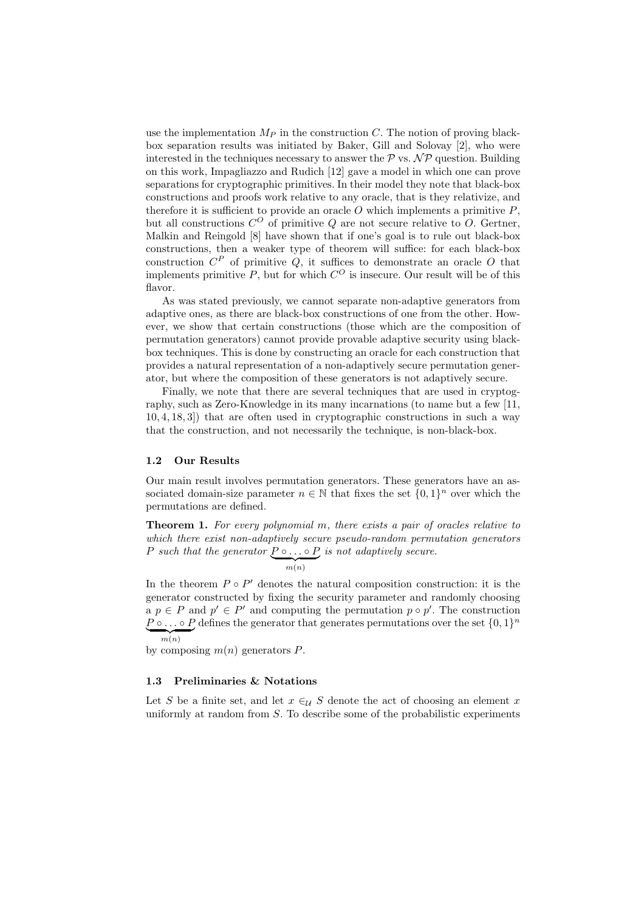use the implementation  $M_P$  in the construction C. The notion of proving blackbox separation results was initiated by Baker, Gill and Solovay [2], who were interested in the techniques necessary to answer the  $P$  vs.  $\mathcal{NP}$  question. Building on this work, Impagliazzo and Rudich [12] gave a model in which one can prove separations for cryptographic primitives. In their model they note that black-box constructions and proofs work relative to any oracle, that is they relativize, and therefore it is sufficient to provide an oracle  $O$  which implements a primitive  $P$ , but all constructions  $C^O$  of primitive Q are not secure relative to O. Gertner, Malkin and Reingold [8] have shown that if one's goal is to rule out black-box constructions, then a weaker type of theorem will suffice: for each black-box construction  $C^P$  of primitive Q, it suffices to demonstrate an oracle O that implements primitive  $P$ , but for which  $C^{O}$  is insecure. Our result will be of this flavor.

As was stated previously, we cannot separate non-adaptive generators from adaptive ones, as there are black-box constructions of one from the other. However, we show that certain constructions (those which are the composition of permutation generators) cannot provide provable adaptive security using blackbox techniques. This is done by constructing an oracle for each construction that provides a natural representation of a non-adaptively secure permutation generator, but where the composition of these generators is not adaptively secure.

Finally, we note that there are several techniques that are used in cryptography, such as Zero-Knowledge in its many incarnations (to name but a few [11, 10, 4, 18, 3]) that are often used in cryptographic constructions in such a way that the construction, and not necessarily the technique, is non-black-box.

#### 1.2 Our Results

Our main result involves permutation generators. These generators have an associated domain-size parameter  $n \in \mathbb{N}$  that fixes the set  $\{0, 1\}^n$  over which the permutations are defined.

**Theorem 1.** For every polynomial  $m$ , there exists a pair of oracles relative to which there exist non-adaptively secure pseudo-random permutation generators P such that the generator  $\underbrace{P \circ \ldots \circ P}_{m(n)}$ is not adaptively secure.

$$
\mathop{\mathsf{r}}\limits' (n)
$$

In the theorem  $P \circ P'$  denotes the natural composition construction: it is the generator constructed by fixing the security parameter and randomly choosing a  $p \in P$  and  $p' \in P'$  and computing the permutation  $p \circ p'$ . The construction  $P \circ \dots \circ P$  defines the generator that generates permutations over the set  $\{0,1\}^n$  $m(n)$ 

by composing  $m(n)$  generators P.

#### 1.3 Preliminaries & Notations

Let S be a finite set, and let  $x \in \mathcal{U}$  S denote the act of choosing an element x uniformly at random from  $S$ . To describe some of the probabilistic experiments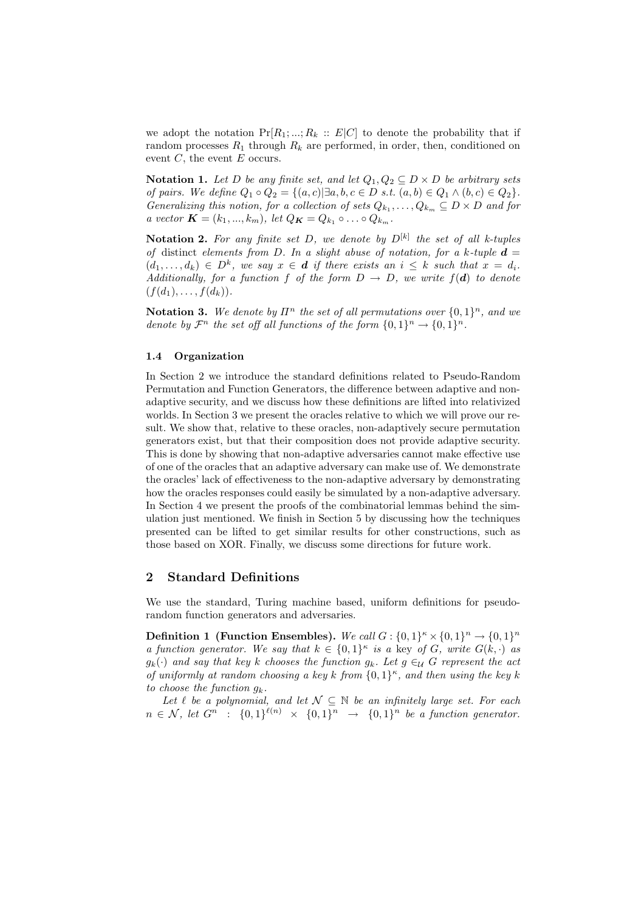we adopt the notation  $Pr[R_1; ...; R_k :: E|C]$  to denote the probability that if random processes  $R_1$  through  $R_k$  are performed, in order, then, conditioned on event  $C$ , the event  $E$  occurs.

**Notation 1.** Let D be any finite set, and let  $Q_1, Q_2 \subseteq D \times D$  be arbitrary sets of pairs. We define  $Q_1 \circ Q_2 = \{(a, c) | \exists a, b, c \in D \text{ s.t. } (a, b) \in Q_1 \land (b, c) \in Q_2\}.$ Generalizing this notion, for a collection of sets  $Q_{k_1}, \ldots, Q_{k_m} \subseteq D \times D$  and for a vector  $\mathbf{K} = (k_1, ..., k_m)$ , let  $Q_{\mathbf{K}} = Q_{k_1} \circ ... \circ Q_{k_m}$ .

**Notation 2.** For any finite set D, we denote by  $D^{[k]}$  the set of all k-tuples of distinct elements from D. In a slight abuse of notation, for a k-tuple  $\mathbf{d} =$  $(d_1, \ldots, d_k) \in D^k$ , we say  $x \in d$  if there exists an  $i \leq k$  such that  $x = d_i$ . Additionally, for a function f of the form  $D \to D$ , we write  $f(\mathbf{d})$  to denote  $(f(d_1), \ldots, f(d_k)).$ 

**Notation 3.** We denote by  $\Pi^n$  the set of all permutations over  $\{0,1\}^n$ , and we denote by  $\mathcal{F}^n$  the set off all functions of the form  $\{0,1\}^n \to \{0,1\}^n$ .

#### 1.4 Organization

In Section 2 we introduce the standard definitions related to Pseudo-Random Permutation and Function Generators, the difference between adaptive and nonadaptive security, and we discuss how these definitions are lifted into relativized worlds. In Section 3 we present the oracles relative to which we will prove our result. We show that, relative to these oracles, non-adaptively secure permutation generators exist, but that their composition does not provide adaptive security. This is done by showing that non-adaptive adversaries cannot make effective use of one of the oracles that an adaptive adversary can make use of. We demonstrate the oracles' lack of effectiveness to the non-adaptive adversary by demonstrating how the oracles responses could easily be simulated by a non-adaptive adversary. In Section 4 we present the proofs of the combinatorial lemmas behind the simulation just mentioned. We finish in Section 5 by discussing how the techniques presented can be lifted to get similar results for other constructions, such as those based on XOR. Finally, we discuss some directions for future work.

## 2 Standard Definitions

We use the standard, Turing machine based, uniform definitions for pseudorandom function generators and adversaries.

**Definition 1 (Function Ensembles).** We call  $G: \{0,1\}^n \times \{0,1\}^n \rightarrow \{0,1\}^n$ a function generator. We say that  $k \in \{0,1\}^{\kappa}$  is a key of G, write  $G(k, \cdot)$  as  $g_k(\cdot)$  and say that key k chooses the function  $g_k$ . Let  $g \in \mathcal{U}$  G represent the act of uniformly at random choosing a key k from  $\{0,1\}^{\kappa}$ , and then using the key k to choose the function  $q_k$ .

Let  $\ell$  be a polynomial, and let  $\mathcal{N} \subseteq \mathbb{N}$  be an infinitely large set. For each  $n \in \mathcal{N}$ , let  $G^n$  :  $\{0,1\}^{\ell(n)} \times \{0,1\}^n \rightarrow \{0,1\}^n$  be a function generator.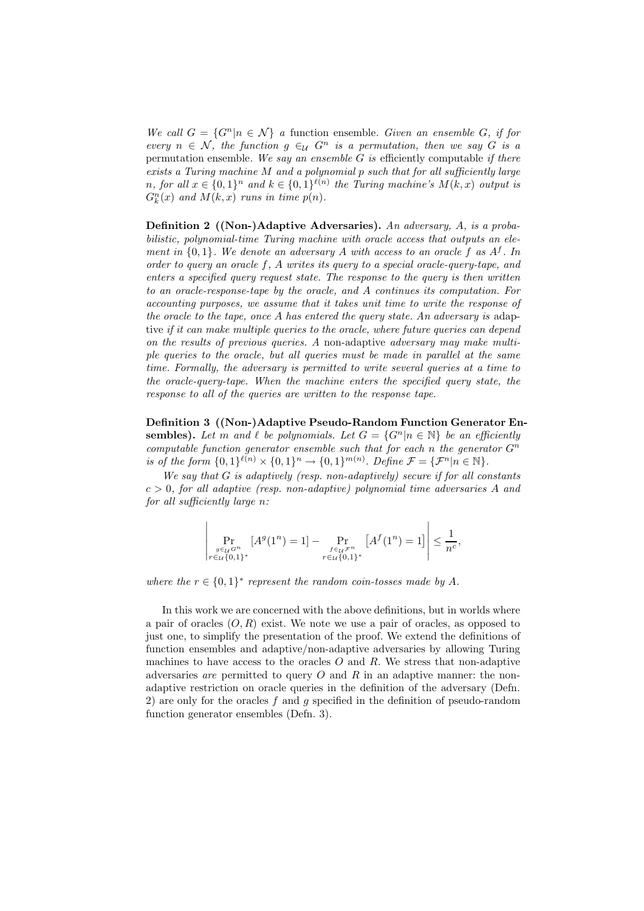We call  $G = \{G^n | n \in \mathcal{N}\}\$ a function ensemble. Given an ensemble G, if for every  $n \in \mathcal{N}$ , the function  $g \in \mathcal{U}$  G<sup>n</sup> is a permutation, then we say G is a permutation ensemble. We say an ensemble  $G$  is efficiently computable if there exists a Turing machine M and a polynomial p such that for all sufficiently large n, for all  $x \in \{0,1\}^n$  and  $k \in \{0,1\}^{\ell(n)}$  the Turing machine's  $M(k, x)$  output is  $G_k^n(x)$  and  $M(k, x)$  runs in time  $p(n)$ .

Definition 2 ((Non-)Adaptive Adversaries). An adversary, A, is a probabilistic, polynomial-time Turing machine with oracle access that outputs an element in  $\{0,1\}$ . We denote an adversary A with access to an oracle f as  $A<sup>f</sup>$ . In order to query an oracle f, A writes its query to a special oracle-query-tape, and enters a specified query request state. The response to the query is then written to an oracle-response-tape by the oracle, and A continues its computation. For accounting purposes, we assume that it takes unit time to write the response of the oracle to the tape, once A has entered the query state. An adversary is adaptive if it can make multiple queries to the oracle, where future queries can depend on the results of previous queries. A non-adaptive adversary may make multiple queries to the oracle, but all queries must be made in parallel at the same time. Formally, the adversary is permitted to write several queries at a time to the oracle-query-tape. When the machine enters the specified query state, the response to all of the queries are written to the response tape.

Definition 3 ((Non-)Adaptive Pseudo-Random Function Generator Ensembles). Let m and  $\ell$  be polynomials. Let  $G = \{G^n | n \in \mathbb{N}\}\$  be an efficiently computable function generator ensemble such that for each n the generator  $G<sup>n</sup>$ is of the form  $\{0,1\}^{\ell(n)} \times \{0,1\}^n \to \{0,1\}^{m(n)}$ . Define  $\mathcal{F} = {\mathcal{F}^n | n \in \mathbb{N}}$ .

We say that  $G$  is adaptively (resp. non-adaptively) secure if for all constants  $c > 0$ , for all adaptive (resp. non-adaptive) polynomial time adversaries A and for all sufficiently large n:

$$
\Pr_{\substack{g \in_{\mathcal{U}} G^n \\ r \in_{\mathcal{U}} \{0,1\}^*}} [A^g(1^n) = 1] - \Pr_{\substack{f \in_{\mathcal{U}} \mathcal{F}^n \\ r \in_{\mathcal{U}} \{0,1\}^*}} [A^f(1^n) = 1] \ge \frac{1}{n^c},
$$

where the  $r \in \{0,1\}^*$  represent the random coin-tosses made by A.

 $\overline{\phantom{a}}$  $\overline{\phantom{a}}$  $\overline{\phantom{a}}$  $\overline{\phantom{a}}$  $\overline{\phantom{a}}$  $\overline{\phantom{a}}$ 

In this work we are concerned with the above definitions, but in worlds where a pair of oracles  $(O, R)$  exist. We note we use a pair of oracles, as opposed to just one, to simplify the presentation of the proof. We extend the definitions of function ensembles and adaptive/non-adaptive adversaries by allowing Turing machines to have access to the oracles  $O$  and  $R$ . We stress that non-adaptive adversaries *are* permitted to query  $O$  and  $R$  in an adaptive manner: the nonadaptive restriction on oracle queries in the definition of the adversary (Defn. 2) are only for the oracles f and q specified in the definition of pseudo-random function generator ensembles (Defn. 3).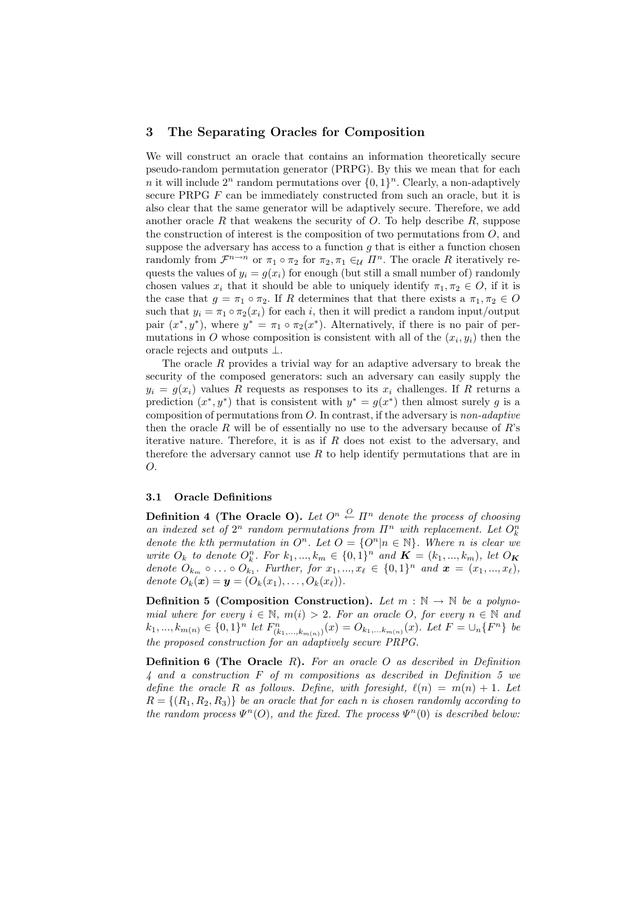#### 3 The Separating Oracles for Composition

We will construct an oracle that contains an information theoretically secure pseudo-random permutation generator (PRPG). By this we mean that for each n it will include  $2^n$  random permutations over  $\{0,1\}^n$ . Clearly, a non-adaptively secure PRPG  $F$  can be immediately constructed from such an oracle, but it is also clear that the same generator will be adaptively secure. Therefore, we add another oracle R that weakens the security of O. To help describe R, suppose the construction of interest is the composition of two permutations from O, and suppose the adversary has access to a function  $g$  that is either a function chosen randomly from  $\mathcal{F}^{n \to n}$  or  $\pi_1 \circ \pi_2$  for  $\pi_2, \pi_1 \in_{\mathcal{U}} \Pi^n$ . The oracle R iteratively requests the values of  $y_i = g(x_i)$  for enough (but still a small number of) randomly chosen values  $x_i$  that it should be able to uniquely identify  $\pi_1, \pi_2 \in O$ , if it is the case that  $g = \pi_1 \circ \pi_2$ . If R determines that that there exists a  $\pi_1, \pi_2 \in O$ such that  $y_i = \pi_1 \circ \pi_2(x_i)$  for each i, then it will predict a random input/output pair  $(x^*, y^*)$ , where  $y^* = \pi_1 \circ \pi_2(x^*)$ . Alternatively, if there is no pair of permutations in O whose composition is consistent with all of the  $(x_i, y_i)$  then the oracle rejects and outputs ⊥.

The oracle  $R$  provides a trivial way for an adaptive adversary to break the security of the composed generators: such an adversary can easily supply the  $y_i = g(x_i)$  values R requests as responses to its  $x_i$  challenges. If R returns a prediction  $(x^*, y^*)$  that is consistent with  $y^* = g(x^*)$  then almost surely g is a composition of permutations from  $O$ . In contrast, if the adversary is *non-adaptive* then the oracle R will be of essentially no use to the adversary because of  $R$ 's iterative nature. Therefore, it is as if  $R$  does not exist to the adversary, and therefore the adversary cannot use  $R$  to help identify permutations that are in O.

#### 3.1 Oracle Definitions

**Definition 4 (The Oracle O).** Let  $O^n \stackrel{O}{\leftarrow} \Pi^n$  denote the process of choosing an indexed set of  $2^n$  random permutations from  $\Pi^n$  with replacement. Let  $O_k^n$ denote the kth permutation in  $O^n$ . Let  $O = \{O^n | n \in \mathbb{N}\}\$ . Where n is clear we write  $O_k$  to denote  $O_k^n$ . For  $k_1, ..., k_m \in \{0, 1\}^n$  and  $\mathbf{K} = (k_1, ..., k_m)$ , let  $O_{\mathbf{K}}$ denote  $O_{k_m} \circ \ldots \circ O_{k_1}$ . Further, for  $x_1, ..., x_\ell \in \{0,1\}^n$  and  $\boldsymbol{x} = (x_1, ..., x_\ell)$ , denote  $O_k(\boldsymbol{x}) = \boldsymbol{y} = (O_k(x_1), \ldots, O_k(x_\ell)).$ 

**Definition 5 (Composition Construction).** Let  $m : \mathbb{N} \to \mathbb{N}$  be a polynomial where for every  $i \in \mathbb{N}$ ,  $m(i) > 2$ . For an oracle O, for every  $n \in \mathbb{N}$  and  $k_1, ..., k_{m(n)} \in \{0,1\}^n$  let  $F_{(k_1,...,k_{m(n)})}^n(x) = O_{k_1,...k_{m(n)}}(x)$ . Let  $F = \bigcup_n \{F^n\}$  be the proposed construction for an adaptively secure PRPG.

**Definition 6 (The Oracle R).** For an oracle O as described in Definition 4 and a construction F of m compositions as described in Definition 5 we define the oracle R as follows. Define, with foresight,  $\ell(n) = m(n) + 1$ . Let  $R = \{(R_1, R_2, R_3)\}\;$  be an oracle that for each n is chosen randomly according to the random process  $\Psi^{n}(O)$ , and the fixed. The process  $\Psi^{n}(0)$  is described below: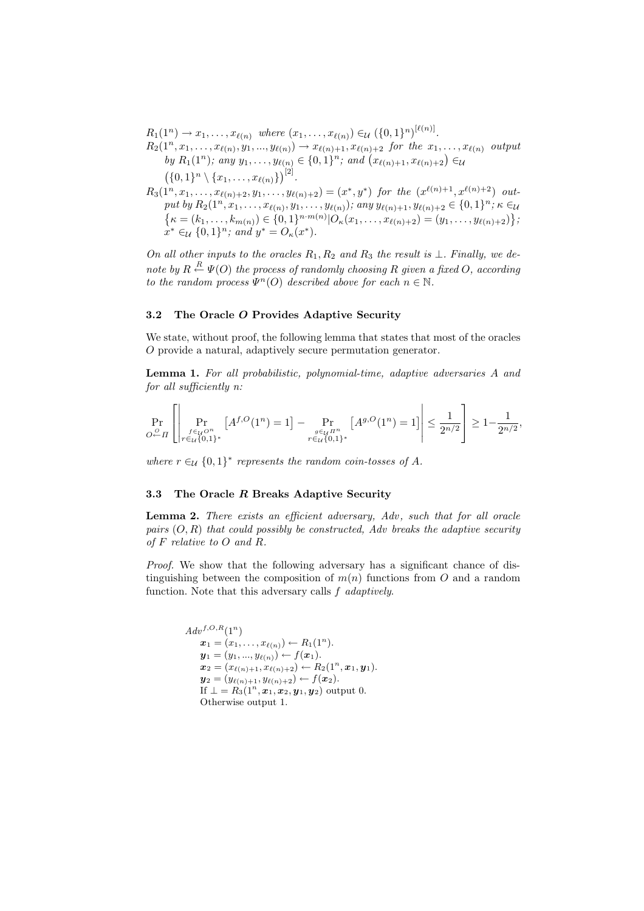$$
R_1(1^n) \to x_1, \ldots, x_{\ell(n)} \text{ where } (x_1, \ldots, x_{\ell(n)}) \in \mathcal{U} \left(\{0, 1\}^n\right)^{[\ell(n)]}.
$$
  
\n
$$
R_2(1^n, x_1, \ldots, x_{\ell(n)}, y_1, \ldots, y_{\ell(n)}) \to x_{\ell(n)+1}, x_{\ell(n)+2} \text{ for the } x_1, \ldots, x_{\ell(n)} \text{ output}
$$
  
\n
$$
by \ R_1(1^n); \ any \ y_1, \ldots, y_{\ell(n)} \in \{0, 1\}^n; \ and \ (x_{\ell(n)+1}, x_{\ell(n)+2}) \in \mathcal{U}
$$
  
\n
$$
\left(\{0, 1\}^n \setminus \{x_1, \ldots, x_{\ell(n)}\}\right)^{[2]}.
$$
  
\n
$$
R_3(1^n, x_1, \ldots, x_{\ell(n)+2}, y_1, \ldots, y_{\ell(n)+2}) = (x^*, y^*) \text{ for the } (x^{\ell(n)+1}, x^{\ell(n)+2}) \text{ out-}
$$
  
\n
$$
put \ by \ R_2(1^n, x_1, \ldots, x_{\ell(n)}, y_1, \ldots, y_{\ell(n)}); \ any \ y_{\ell(n)+1}, y_{\ell(n)+2} \in \{0, 1\}^n; \ \kappa \in \mathcal{U}
$$
  
\n
$$
\left\{\kappa = (k_1, \ldots, k_{m(n)}) \in \{0, 1\}^{n \cdot m(n)} | O_\kappa(x_1, \ldots, x_{\ell(n)+2}) = (y_1, \ldots, y_{\ell(n)+2})\};
$$
  
\n
$$
x^* \in \mathcal{U} \{0, 1\}^n; \ and \ y^* = O_\kappa(x^*).
$$

On all other inputs to the oracles  $R_1, R_2$  and  $R_3$  the result is  $\perp$ . Finally, we denote by  $R \stackrel{R}{\leftarrow} \Psi(O)$  the process of randomly choosing R given a fixed O, according to the random process  $\Psi^{n}(O)$  described above for each  $n \in \mathbb{N}$ .

## 3.2 The Oracle O Provides Adaptive Security

We state, without proof, the following lemma that states that most of the oracles O provide a natural, adaptively secure permutation generator.

Lemma 1. For all probabilistic, polynomial-time, adaptive adversaries A and for all sufficiently n:

$$
\Pr_{O \stackrel{\mathcal{O}}{\leftarrow} \Pi} \left[ \left| \Pr_{\substack{f \in U^{O^n} \\ r \in \mathcal{U}\{0,1\}^*}} \left[ A^{f,O}(1^n) = 1 \right] - \Pr_{\substack{g \in U^{\Pi^n} \\ r \in \mathcal{U}\{0,1\}^*}} \left[ A^{g,O}(1^n) = 1 \right] \right| \le \frac{1}{2^{n/2}} \right] \ge 1 - \frac{1}{2^{n/2}},
$$

where  $r \in \mathcal{U} \{0,1\}^*$  represents the random coin-tosses of A.

#### 3.3 The Oracle R Breaks Adaptive Security

Lemma 2. There exists an efficient adversary, Adv, such that for all oracle pairs  $(O, R)$  that could possibly be constructed, Adv breaks the adaptive security of F relative to O and R.

Proof. We show that the following adversary has a significant chance of distinguishing between the composition of  $m(n)$  functions from O and a random function. Note that this adversary calls f adaptively.

$$
Adv^{f,O,R}(1^n)
$$
  
\n
$$
x_1 = (x_1, ..., x_{\ell(n)}) \leftarrow R_1(1^n).
$$
  
\n
$$
y_1 = (y_1, ..., y_{\ell(n)}) \leftarrow f(x_1).
$$
  
\n
$$
x_2 = (x_{\ell(n)+1}, x_{\ell(n)+2}) \leftarrow R_2(1^n, x_1, y_1).
$$
  
\n
$$
y_2 = (y_{\ell(n)+1}, y_{\ell(n)+2}) \leftarrow f(x_2).
$$
  
\nIf  $\perp = R_3(1^n, x_1, x_2, y_1, y_2)$  output 0.  
\nOtherwise output 1.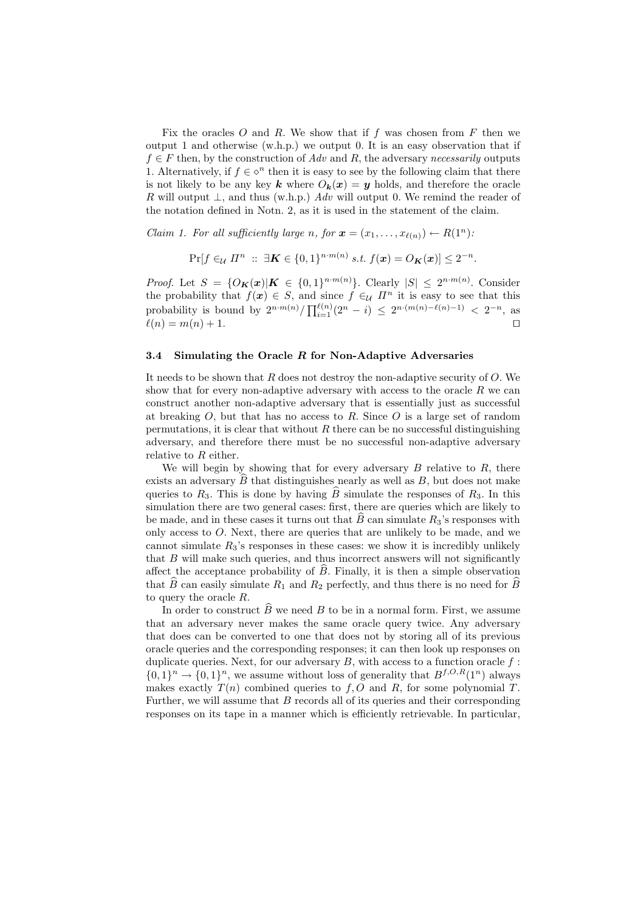Fix the oracles O and R. We show that if f was chosen from  $F$  then we output 1 and otherwise (w.h.p.) we output 0. It is an easy observation that if  $f \in F$  then, by the construction of Adv and R, the adversary necessarily outputs 1. Alternatively, if  $f \in \diamond^n$  then it is easy to see by the following claim that there is not likely to be any key **k** where  $O_k(x) = y$  holds, and therefore the oracle R will output  $\perp$ , and thus (w.h.p.) Adv will output 0. We remind the reader of the notation defined in Notn. 2, as it is used in the statement of the claim.

Claim 1. For all sufficiently large n, for  $\mathbf{x} = (x_1, \ldots, x_{\ell(n)}) \leftarrow R(1^n)$ :

$$
\Pr[f \in_{\mathcal{U}} \Pi^n \ :: \ \exists \mathbf{K} \in \{0,1\}^{n \cdot m(n)} \ s.t. \ f(\mathbf{x}) = O_{\mathbf{K}}(\mathbf{x})] \leq 2^{-n}.
$$

*Proof.* Let  $S = \{O_K(\boldsymbol{x}) | K \in \{0,1\}^{n \cdot m(n)}\}$ . Clearly  $|S| \leq 2^{n \cdot m(n)}$ . Consider the probability that  $f(x) \in S$ , and since  $f \in \mathcal{U}$   $\Pi^n$  it is easy to see that this probability is bound by  $2^{n \cdot m(n)}/\prod_{i=1}^{\ell(n)} (2^n - i) \leq 2^{n \cdot (m(n) - \ell(n) - 1)} < 2^{-n}$ , as  $\ell(n) = m(n) + 1.$ 

#### 3.4 Simulating the Oracle  $R$  for Non-Adaptive Adversaries

It needs to be shown that  $R$  does not destroy the non-adaptive security of  $O$ . We show that for every non-adaptive adversary with access to the oracle  $R$  we can construct another non-adaptive adversary that is essentially just as successful at breaking  $O$ , but that has no access to  $R$ . Since  $O$  is a large set of random permutations, it is clear that without  $R$  there can be no successful distinguishing adversary, and therefore there must be no successful non-adaptive adversary relative to  $R$  either.

We will begin by showing that for every adversary  $B$  relative to  $R$ , there exists an adversary  $\hat{B}$  that distinguishes nearly as well as B, but does not make queries to  $R_3$ . This is done by having  $\hat{B}$  simulate the responses of  $R_3$ . In this simulation there are two general cases: first, there are queries which are likely to be made, and in these cases it turns out that  $\overline{B}$  can simulate  $R_3$ 's responses with only access to O. Next, there are queries that are unlikely to be made, and we cannot simulate  $R_3$ 's responses in these cases: we show it is incredibly unlikely that  $B$  will make such queries, and thus incorrect answers will not significantly affect the acceptance probability of  $\tilde{B}$ . Finally, it is then a simple observation that  $\overline{B}$  can easily simulate  $R_1$  and  $R_2$  perfectly, and thus there is no need for  $\overline{B}$ to query the oracle R.

In order to construct  $\widehat{B}$  we need B to be in a normal form. First, we assume that an adversary never makes the same oracle query twice. Any adversary that does can be converted to one that does not by storing all of its previous oracle queries and the corresponding responses; it can then look up responses on duplicate queries. Next, for our adversary  $B$ , with access to a function oracle  $f$ :  $\{0,1\}^n \to \{0,1\}^n$ , we assume without loss of generality that  $B^{f,O,R}(1^n)$  always makes exactly  $T(n)$  combined queries to  $f, O$  and  $R$ , for some polynomial  $T$ . Further, we will assume that  $B$  records all of its queries and their corresponding responses on its tape in a manner which is efficiently retrievable. In particular,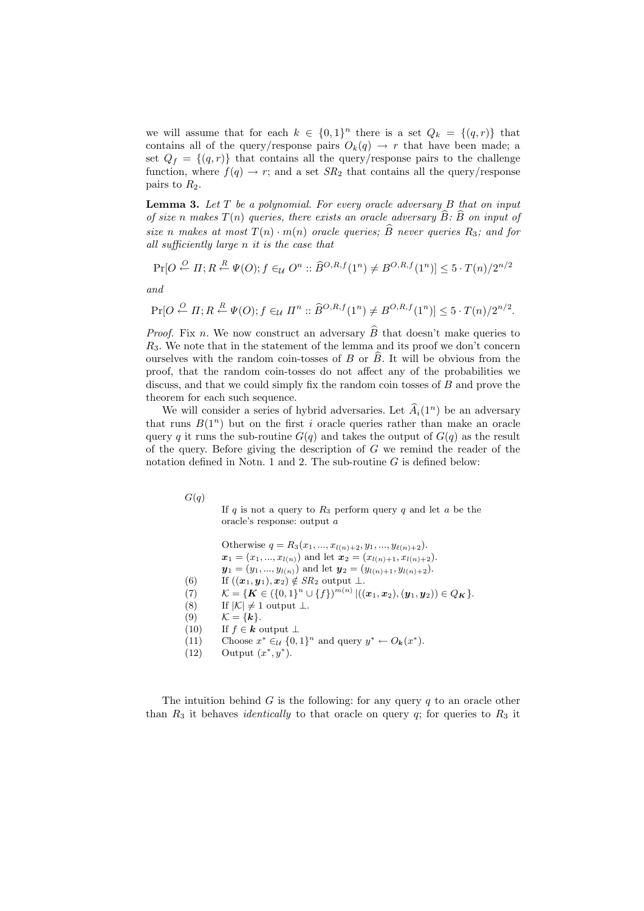we will assume that for each  $k \in \{0,1\}^n$  there is a set  $Q_k = \{(q,r)\}\)$  that contains all of the query/response pairs  $O_k(q) \to r$  that have been made; a set  $Q_f = \{(q, r)\}\$  that contains all the query/response pairs to the challenge function, where  $f(q) \rightarrow r$ ; and a set  $SR<sub>2</sub>$  that contains all the query/response pairs to  $R_2$ .

**Lemma 3.** Let  $T$  be a polynomial. For every oracle adversary  $B$  that on input of size n makes  $T(n)$  queries, there exists an oracle adversary  $\overline{B}$ :  $\overline{B}$  on input of size n makes at most  $T(n) \cdot m(n)$  oracle queries;  $\widehat{B}$  never queries R<sub>3</sub>; and for all sufficiently large n it is the case that

$$
\Pr[O \stackrel{O}{\leftarrow} \varPi; R \stackrel{R}{\leftarrow} \varPsi(O); f \in_{\mathcal{U}} O^n :: \widehat{B}^{O,R,f}(1^n) \neq B^{O,R,f}(1^n)] \leq 5 \cdot T(n)/2^{n/2}
$$

and

$$
\Pr[O \stackrel{O}{\leftarrow} \Pi; R \stackrel{R}{\leftarrow} \Psi(O); f \in_{\mathcal{U}} \Pi^n :: \widehat{B}^{O,R,f}(1^n) \neq B^{O,R,f}(1^n)] \leq 5 \cdot T(n)/2^{n/2}.
$$

*Proof.* Fix n. We now construct an adversary  $\widehat{B}$  that doesn't make queries to  $R<sub>3</sub>$ . We note that in the statement of the lemma and its proof we don't concern ourselves with the random coin-tosses of  $B$  or  $B$ . It will be obvious from the proof, that the random coin-tosses do not affect any of the probabilities we discuss, and that we could simply fix the random coin tosses of  $B$  and prove the theorem for each such sequence.

We will consider a series of hybrid adversaries. Let  $\widehat{A}_i(1^n)$  be an adversary that runs  $B(1^n)$  but on the first i oracle queries rather than make an oracle query q it runs the sub-routine  $G(q)$  and takes the output of  $G(q)$  as the result of the query. Before giving the description of  $G$  we remind the reader of the notation defined in Notn. 1 and 2. The sub-routine  $G$  is defined below:

 $G(q)$ 

If q is not a query to  $R_3$  perform query q and let a be the oracle's response: output a

Otherwise  $q = R_3(x_1, ..., x_{l(n)+2}, y_1, ..., y_{l(n)+2}).$  $x_1 = (x_1, ..., x_{l(n)})$  and let  $x_2 = (x_{l(n)+1}, x_{l(n)+2}).$  $y_1 = (y_1, ..., y_{l(n)})$  and let  $y_2 = (y_{l(n)+1}, y_{l(n)+2})$ . (6) If  $((x_1, y_1), x_2) \notin SR_2$  output ⊥. (7)  $\mathcal{K} = {\mathbf{K} \in (\{0,1\}^n \cup \{f\})^{m(n)} \, |((\boldsymbol{x}_1, \boldsymbol{x}_2), (\boldsymbol{y}_1, \boldsymbol{y}_2)) \in Q_{\mathbf{K}}\}.$ (8) If  $|K| \neq 1$  output  $\perp$ . (9)  $\mathcal{K} = \{k\}.$ (10) If  $f \in \mathbf{k}$  output  $\perp$ (11) Choose  $x^* \in \mathcal{U} \{0,1\}^n$  and query  $y^* \leftarrow O_{\mathbf{k}}(x^*)$ .  $(12)$  Output  $(x^*, y^*)$ .

The intuition behind G is the following: for any query  $q$  to an oracle other than  $R_3$  it behaves *identically* to that oracle on query  $q$ ; for queries to  $R_3$  it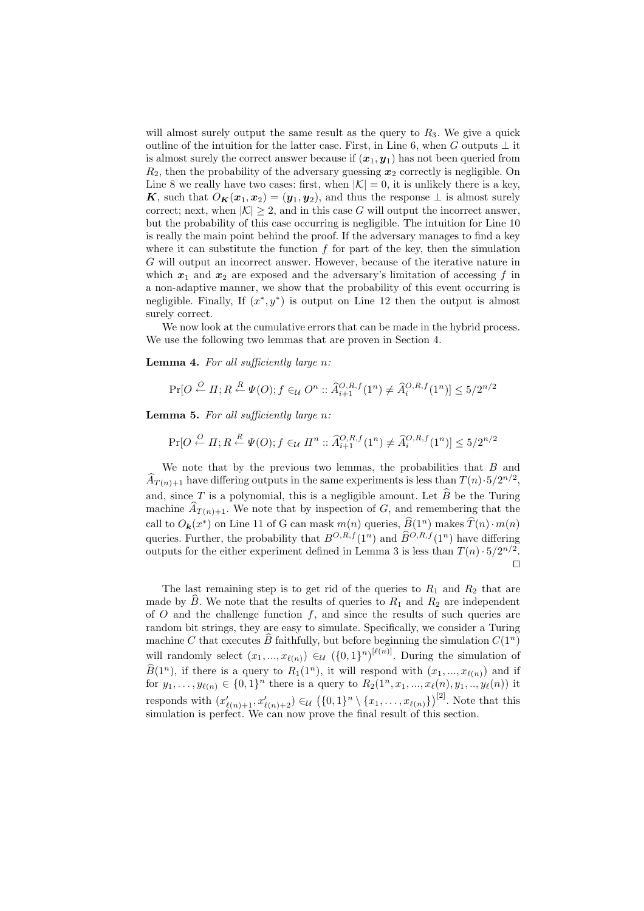will almost surely output the same result as the query to  $R_3$ . We give a quick outline of the intuition for the latter case. First, in Line 6, when G outputs  $\perp$  it is almost surely the correct answer because if  $(x_1, y_1)$  has not been queried from  $R_2$ , then the probability of the adversary guessing  $x_2$  correctly is negligible. On Line 8 we really have two cases: first, when  $|\mathcal{K}| = 0$ , it is unlikely there is a key, K, such that  $O_K(x_1, x_2) = (\mathbf{y}_1, \mathbf{y}_2)$ , and thus the response  $\perp$  is almost surely correct; next, when  $|K| \geq 2$ , and in this case G will output the incorrect answer, but the probability of this case occurring is negligible. The intuition for Line 10 is really the main point behind the proof. If the adversary manages to find a key where it can substitute the function  $f$  for part of the key, then the simulation G will output an incorrect answer. However, because of the iterative nature in which  $x_1$  and  $x_2$  are exposed and the adversary's limitation of accessing f in a non-adaptive manner, we show that the probability of this event occurring is negligible. Finally, If  $(x^*, y^*)$  is output on Line 12 then the output is almost surely correct.

We now look at the cumulative errors that can be made in the hybrid process. We use the following two lemmas that are proven in Section 4.

**Lemma 4.** For all sufficiently large  $n$ :

$$
\Pr[O \stackrel{O}{\leftarrow} \varPi; R \stackrel{R}{\leftarrow} \varPsi(O); f \in _{\mathcal{U}} O^n :: \widehat{A}_{i+1}^{O,R,f}(1^n) \neq \widehat{A}_i^{O,R,f}(1^n)] \leq 5/2^{n/2}
$$

**Lemma 5.** For all sufficiently large  $n$ :

$$
\Pr[O \stackrel{O}{\leftarrow} \varPi; R \stackrel{R}{\leftarrow} \varPsi(O); f \in _{\mathcal{U}} \varPi^n :: \widehat{A}^{O,R,f}_{i+1}(1^n) \neq \widehat{A}^{O,R,f}_i(1^n)] \leq 5/2^{n/2}
$$

We note that by the previous two lemmas, the probabilities that  $B$  and  $\widehat{A}_{T(n)+1}$  have differing outputs in the same experiments is less than  $T(n) \cdot 5/2^{n/2}$ , and, since T is a polynomial, this is a negligible amount. Let  $\widehat{B}$  be the Turing machine  $A_{T(n)+1}$ . We note that by inspection of G, and remembering that the call to  $O_{\mathbf{k}}(x^*)$  on Line 11 of G can mask  $m(n)$  queries,  $\widetilde{B}(1^n)$  makes  $\widetilde{T}(n) \cdot m(n)$ queries. Further, the probability that  $B^{O,R,f}(1^n)$  and  $\widehat{B}^{O,R,f}(1^n)$  have differing outputs for the either experiment defined in Lemma 3 is less than  $T(n) \cdot 5/2^{n/2}$ . ⊓⊔

The last remaining step is to get rid of the queries to  $R_1$  and  $R_2$  that are made by  $\widehat{B}$ . We note that the results of queries to  $R_1$  and  $R_2$  are independent of  $O$  and the challenge function  $f$ , and since the results of such queries are random bit strings, they are easy to simulate. Specifically, we consider a Turing machine C that executes B faithfully, but before beginning the simulation  $C(1^n)$ will randomly select  $(x_1, ..., x_{\ell(n)}) \in_{\mathcal{U}} (\{0,1\}^n)^{[\ell(n)]}$ . During the simulation of  $B(1^n)$ , if there is a query to  $R_1(1^n)$ , it will respond with  $(x_1, ..., x_{\ell(n)})$  and if for  $y_1, \ldots, y_{\ell(n)} \in \{0,1\}^n$  there is a query to  $R_2(1^n, x_1, \ldots, x_{\ell}(n), y_1, \ldots, y_{\ell}(n))$  it responds with  $(x'_{\ell(n)+1}, x'_{\ell(n)+2}) \in \mathcal{U} \left( \{0,1\}^n \setminus \{x_1,\ldots,x_{\ell(n)}\} \right)^{[2]}$ . Note that this simulation is perfect. We can now prove the final result of this section.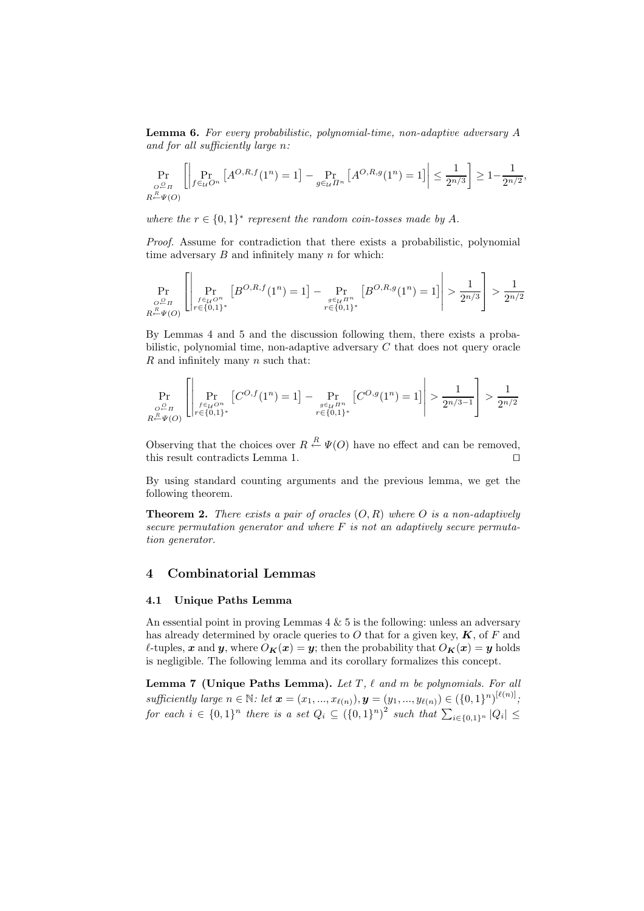Lemma 6. For every probabilistic, polynomial-time, non-adaptive adversary A and for all sufficiently large n:

$$
\Pr_{\substack{O \stackrel{\mathcal{Q}}{}}{R \stackrel{\mathcal{Q}}{\leftarrow} U}}\left[\left| \Pr_{f \in \mathcal{U}}\left[A^{O,R,f}(1^n) = 1\right] - \Pr_{g \in \mathcal{U}}\left[A^{O,R,g}(1^n) = 1\right] \right| \le \frac{1}{2^{n/3}} \right] \ge 1 - \frac{1}{2^{n/2}},
$$

where the  $r \in \{0,1\}^*$  represent the random coin-tosses made by A.

Proof. Assume for contradiction that there exists a probabilistic, polynomial time adversary  $B$  and infinitely many  $n$  for which:

$$
\Pr_{\substack{O \stackrel{O}{\leftarrow} H \\ R \stackrel{F}{\leftarrow} V(O)}} \left[ \left| \Pr_{\substack{f \in {}_{\mathcal{U}} O^n \\ r \in \{0,1\}^*}} \left[ B^{O,R,f}(1^n) = 1 \right] - \Pr_{\substack{g \in {}_{\mathcal{U}} H^n \\ r \in \{0,1\}^*}} \left[ B^{O,R,g}(1^n) = 1 \right] \right| > \frac{1}{2^{n/3}} \right] > \frac{1}{2^{n/2}}
$$

By Lemmas 4 and 5 and the discussion following them, there exists a probabilistic, polynomial time, non-adaptive adversary C that does not query oracle  $R$  and infinitely many  $n$  such that:

$$
\Pr_{\substack{O \subset \Pi \\ R \stackrel{E}{\leftarrow} V(O)}} \left[ \left| \Pr_{\substack{f \in \mathcal{U}^{O^n} \\ r \in \{0,1\}^*}} \left[ C^{O,f}(1^n) = 1 \right] - \Pr_{\substack{g \in \mathcal{U}^{II^n} \\ r \in \{0,1\}^*}} \left[ C^{O,g}(1^n) = 1 \right] \right| > \frac{1}{2^{n/3 - 1}} \right] > \frac{1}{2^{n/2}}
$$

Observing that the choices over  $R \stackrel{R}{\leftarrow} \Psi(O)$  have no effect and can be removed, this result contradicts Lemma 1. ⊓⊔

By using standard counting arguments and the previous lemma, we get the following theorem.

**Theorem 2.** There exists a pair of oracles  $(O, R)$  where O is a non-adaptively secure permutation generator and where  $F$  is not an adaptively secure permutation generator.

# 4 Combinatorial Lemmas

#### 4.1 Unique Paths Lemma

An essential point in proving Lemmas  $4 \& 5$  is the following: unless an adversary has already determined by oracle queries to  $O$  that for a given key,  $\boldsymbol{K}$ , of  $F$  and  $\ell$ -tuples, x and y, where  $O_K(x) = y$ ; then the probability that  $O_K(x) = y$  holds is negligible. The following lemma and its corollary formalizes this concept.

Lemma 7 (Unique Paths Lemma). Let T,  $\ell$  and  $m$  be polynomials. For all sufficiently large  $n \in \mathbb{N}$ : let  $\mathbf{x} = (x_1, ..., x_{\ell(n)})$ ,  $\mathbf{y} = (y_1, ..., y_{\ell(n)}) \in (\{0, 1\}^n)^{[\ell(n)]}$ ; for each  $i \in \{0,1\}^n$  there is a set  $Q_i \subseteq (\{0,1\}^n)^2$  such that  $\sum_{i \in \{0,1\}^n} |Q_i| \leq$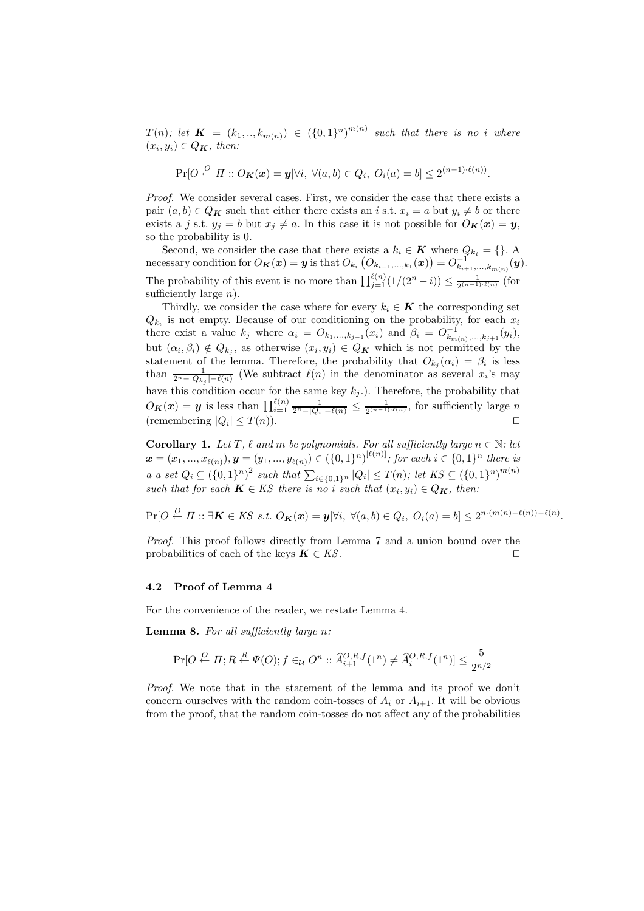$T(n);$  let  $\boldsymbol{K}$  =  $(k_1,..,k_{m(n)}) \in (\{0,1\}^n)^{m(n)}$  such that there is no i where  $(x_i, y_i) \in Q_K$ , then:

$$
\Pr[O \stackrel{O}{\leftarrow} \Pi :: O_{\mathbf{K}}(\mathbf{x}) = \mathbf{y} | \forall i, \ \forall (a, b) \in Q_i, \ O_i(a) = b] \leq 2^{(n-1)\cdot\ell(n)}.
$$

Proof. We consider several cases. First, we consider the case that there exists a pair  $(a, b) \in Q_K$  such that either there exists an i s.t.  $x_i = a$  but  $y_i \neq b$  or there exists a j s.t.  $y_j = b$  but  $x_j \neq a$ . In this case it is not possible for  $O_K(\mathbf{x}) = \mathbf{y}$ , so the probability is 0.

Second, we consider the case that there exists a  $k_i \in K$  where  $Q_{k_i} = \{\}.$  A necessary condition for  $O_{\boldsymbol{K}}(\boldsymbol{x}) = \boldsymbol{y}$  is that  $O_{k_i}\left(O_{k_{i-1},...,k_1}(\boldsymbol{x})\right) = O_{k_{i+1},...,k_{m(n)}}^{-1}(\boldsymbol{y}).$ The probability of this event is no more than  $\prod_{j=1}^{\ell(n)}(1/(2^n-i)) \leq \frac{1}{2^{(n-1)\cdot\ell(n)}}$  (for sufficiently large  $n$ ).

Thirdly, we consider the case where for every  $k_i \in K$  the corresponding set  $Q_{k_i}$  is not empty. Because of our conditioning on the probability, for each  $x_i$ there exist a value  $k_j$  where  $\alpha_i = O_{k_1,...,k_{j-1}}(x_i)$  and  $\beta_i = O_{k_{m(n)},...,k_{j+1}}^{-1}(y_i)$ , but  $(\alpha_i, \beta_i) \notin Q_{k_j}$ , as otherwise  $(x_i, y_i) \in Q_K$  which is not permitted by the statement of the lemma. Therefore, the probability that  $O_{k_j}(\alpha_i) = \beta_i$  is less than  $\frac{1}{2^n - |Q_{k_j}| - \ell(n)}$  (We subtract  $\ell(n)$  in the denominator as several  $x_i$ 's may have this condition occur for the same key  $k_j$ .). Therefore, the probability that  $O_K(x) = y$  is less than  $\prod_{i=1}^{\ell(n)} \frac{1}{2^n - |Q_i| - \ell(n)} \leq \frac{1}{2^{(n-1)\cdot\ell(n)}}$ , for sufficiently large n (remembering  $|Q_i| \leq T(n)$ ). □

Corollary 1. Let T,  $\ell$  and  $m$  be polynomials. For all sufficiently large  $n \in \mathbb{N}$ : let  $\bm{x}=(x_1,...,x_{\ell(n)}),\bm{y}=(y_1,...,y_{\ell(n)})\in(\{0,1\}^n)^{[\ell(n)]};$  for each  $i\in\{0,1\}^n$  there is a a set  $Q_i \subseteq (\{0,1\}^n)^2$  such that  $\sum_{i \in \{0,1\}^n} |Q_i| \leq T(n)$ ; let  $KS \subseteq (\{0,1\}^n)^{m(n)}$ such that for each  $K \in KS$  there is no i such that  $(x_i, y_i) \in Q_K$ , then:

$$
\Pr[O \stackrel{O}{\leftarrow} \Pi :: \exists \mathbf{K} \in KS \ s.t. \ O_{\mathbf{K}}(\mathbf{x}) = \mathbf{y} | \forall i, \ \forall (a, b) \in Q_i, \ O_i(a) = b] \leq 2^{n \cdot (m(n) - \ell(n)) - \ell(n)}.
$$

Proof. This proof follows directly from Lemma 7 and a union bound over the probabilities of each of the keys  $\mathbf{K} \in KS$ . □

#### 4.2 Proof of Lemma 4

For the convenience of the reader, we restate Lemma 4.

**Lemma 8.** For all sufficiently large  $n$ :

$$
\Pr[O \stackrel{O}{\leftarrow} \Pi; R \stackrel{R}{\leftarrow} \Psi(O); f \in \mathcal{U} O^n :: \widehat{A}_{i+1}^{O,R,f}(1^n) \neq \widehat{A}_i^{O,R,f}(1^n)] \leq \frac{5}{2^{n/2}}
$$

Proof. We note that in the statement of the lemma and its proof we don't concern ourselves with the random coin-tosses of  $A_i$  or  $A_{i+1}$ . It will be obvious from the proof, that the random coin-tosses do not affect any of the probabilities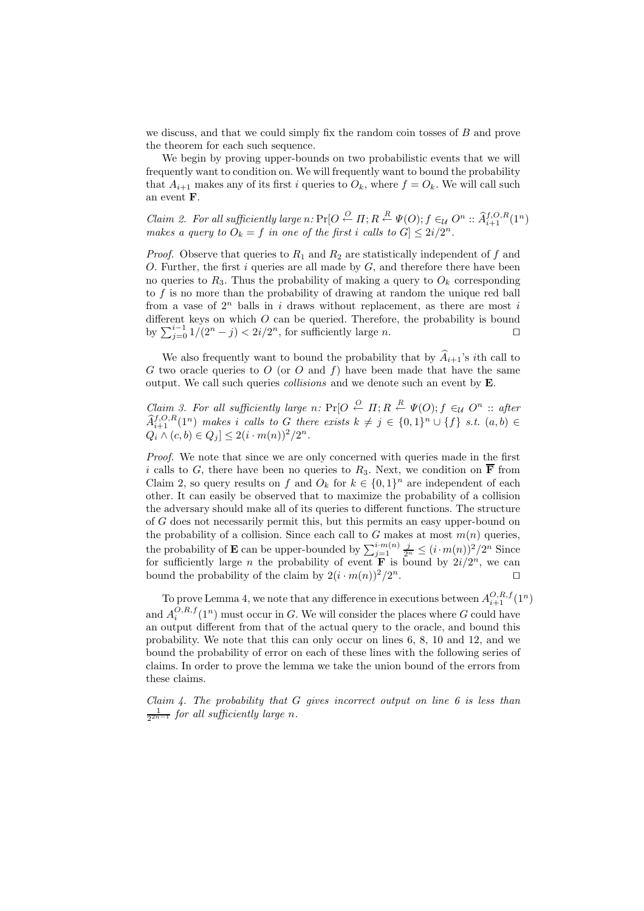we discuss, and that we could simply fix the random coin tosses of B and prove the theorem for each such sequence.

We begin by proving upper-bounds on two probabilistic events that we will frequently want to condition on. We will frequently want to bound the probability that  $A_{i+1}$  makes any of its first i queries to  $O_k$ , where  $f = O_k$ . We will call such an event F.

Claim 2. For all sufficiently large  $n: Pr[O \stackrel{O}{\leftarrow} \Pi; R \stackrel{R}{\leftarrow} \Psi(O); f \in_{\mathcal{U}} O^n :: \hat{A}_{i+1}^{f, O, R}(1^n)$ makes a query to  $O_k = f$  in one of the first i calls to  $G \leq 2i/2^n$ .

*Proof.* Observe that queries to  $R_1$  and  $R_2$  are statistically independent of f and O. Further, the first  $i$  queries are all made by  $G$ , and therefore there have been no queries to  $R_3$ . Thus the probability of making a query to  $O_k$  corresponding to f is no more than the probability of drawing at random the unique red ball from a vase of  $2^n$  balls in i draws without replacement, as there are most i different keys on which  $O$  can be queried. Therefore, the probability is bound by  $\sum_{j=0}^{i-1} 1/(2^n - j) < 2i/2^n$ , for sufficiently large *n*. □

We also frequently want to bound the probability that by  $\widehat{A}_{i+1}$ 's *i*th call to G two oracle queries to  $O$  (or  $O$  and  $f$ ) have been made that have the same output. We call such queries *collisions* and we denote such an event by **E**.

Claim 3. For all sufficiently large n:  $Pr[O \stackrel{O}{\leftarrow} \Pi; R \stackrel{R}{\leftarrow} \Psi(O); f \in_{\mathcal{U}} O^n$  :: after  $\hat{A}_{i+1}^{f,O,R}(1^n)$  makes i calls to G there exists  $k \neq j \in \{0,1\}^n \cup \{f\}$  s.t.  $(a,b) \in$  $Q_i \wedge (c, b) \in Q_j] \leq 2(i \cdot m(n))^2 / 2^n$ .

Proof. We note that since we are only concerned with queries made in the first i calls to G, there have been no queries to  $R_3$ . Next, we condition on  $\overline{F}$  from Claim 2, so query results on f and  $O_k$  for  $k \in \{0,1\}^n$  are independent of each other. It can easily be observed that to maximize the probability of a collision the adversary should make all of its queries to different functions. The structure of G does not necessarily permit this, but this permits an easy upper-bound on the probability of a collision. Since each call to G makes at most  $m(n)$  queries, the probability of **E** can be upper-bounded by  $\sum_{j=1}^{i=m(n)} \frac{j}{2^n} \leq (i \cdot m(n))^2 / 2^n$  Since for sufficiently large *n* the probability of event  $\mathbf{F}$  is bound by  $2i/2^n$ , we can bound the probability of the claim by  $2(i \cdot m(n))^2/2^n$ .  $n$ . □

To prove Lemma 4, we note that any difference in executions between  $A_{i+1}^{O,R,f}(1^n)$ and  $A_i^{O,R,f}(1^n)$  must occur in G. We will consider the places where G could have an output different from that of the actual query to the oracle, and bound this probability. We note that this can only occur on lines 6, 8, 10 and 12, and we bound the probability of error on each of these lines with the following series of claims. In order to prove the lemma we take the union bound of the errors from these claims.

Claim 4. The probability that  $G$  gives incorrect output on line  $6$  is less than  $\frac{1}{2^{2n-1}}$  for all sufficiently large n.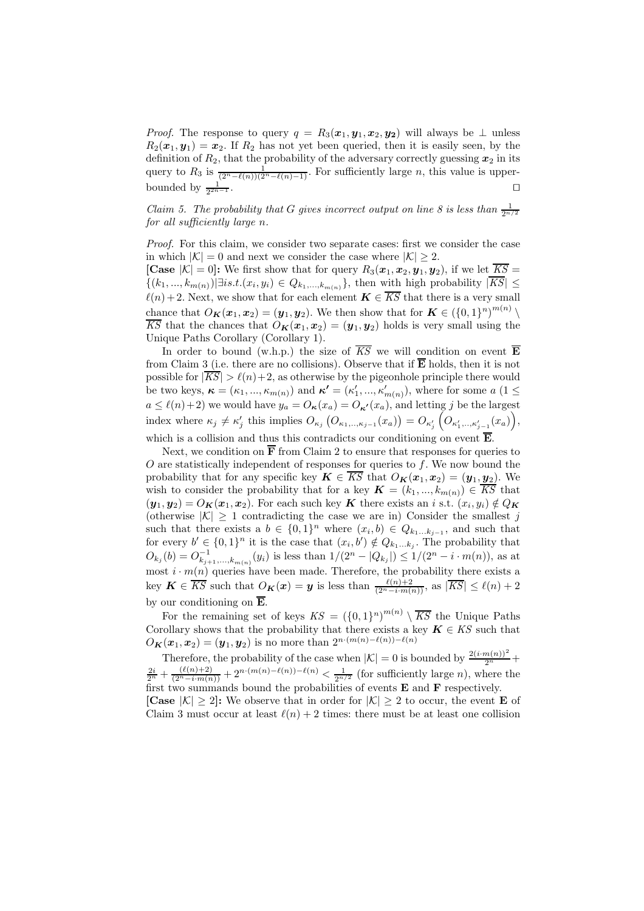*Proof.* The response to query  $q = R_3(x_1, y_1, x_2, y_2)$  will always be  $\perp$  unless  $R_2(x_1, y_1) = x_2$ . If  $R_2$  has not yet been queried, then it is easily seen, by the definition of  $R_2$ , that the probability of the adversary correctly guessing  $x_2$  in its query to  $R_3$  is  $\frac{1}{(2^n - \ell(n))(2^n - \ell(n)-1)}$ . For sufficiently large n, this value is upperbounded by  $\frac{1}{2^{2n-1}}$ .  $\frac{1}{2^{2n-1}}$ . □

## Claim 5. The probability that G gives incorrect output on line 8 is less than  $\frac{1}{2^{n/2}}$ for all sufficiently large n.

Proof. For this claim, we consider two separate cases: first we consider the case in which  $|\mathcal{K}| = 0$  and next we consider the case where  $|\mathcal{K}| \geq 2$ .

[Case  $|\mathcal{K}| = 0$ ]: We first show that for query  $R_3(\boldsymbol{x}_1, \boldsymbol{x}_2, \boldsymbol{y}_1, \boldsymbol{y}_2)$ , if we let  $\overline{KS} =$  $\{(k_1, ..., k_{m(n)})|\exists i s.t. (x_i, y_i) \in Q_{k_1, ..., k_{m(n)}}\},\$  then with high probability  $|KS| \leq$  $\ell(n)+2$ . Next, we show that for each element  $\mathbf{K} \in \overline{KS}$  that there is a very small chance that  $O_K(\boldsymbol{x}_1, \boldsymbol{x}_2) = (\boldsymbol{y}_1, \boldsymbol{y}_2)$ . We then show that for  $\boldsymbol{K} \in (\{0, 1\}^n)^{m(n)} \setminus \{0\}$  $\overline{KS}$  that the chances that  $O_K(x_1, x_2) = (\mathbf{y}_1, \mathbf{y}_2)$  holds is very small using the Unique Paths Corollary (Corollary 1).

In order to bound (w.h.p.) the size of  $\overline{KS}$  we will condition on event  $\overline{E}$ from Claim 3 (i.e. there are no collisions). Observe that if  $\overline{E}$  holds, then it is not possible for  $|\overline{KS}| > \ell(n)+2$ , as otherwise by the pigeonhole principle there would be two keys,  $\boldsymbol{\kappa} = (\kappa_1, ..., \kappa_{m(n)})$  and  $\boldsymbol{\kappa'} = (\kappa'_1, ..., \kappa'_{m(n)})$ , where for some  $a$  (1  $\leq$  $a \leq \ell(n)+2$ ) we would have  $y_a = O_{\kappa}(x_a) = O_{\kappa'}(x_a)$ , and letting j be the largest index where  $\kappa_j \neq \kappa'_j$  this implies  $O_{\kappa_j} (O_{\kappa_1,\dots,\kappa_{j-1}}(x_a)) = O_{\kappa'_j}$  $\left(O_{\kappa'_1,\ldots,\kappa'_{j-1}}(x_a)\right),$ which is a collision and thus this contradicts our conditioning on event  $\overline{E}$ .

Next, we condition on  $\overline{F}$  from Claim 2 to ensure that responses for queries to  $O$  are statistically independent of responses for queries to  $f$ . We now bound the probability that for any specific key  $\mathbf{K} \in \overline{KS}$  that  $O_{\mathbf{K}}(\boldsymbol{x}_1, \boldsymbol{x}_2) = (\boldsymbol{y}_1, \boldsymbol{y}_2)$ . We wish to consider the probability that for a key  $\mathbf{K} = (k_1, ..., k_{m(n)}) \in \overline{KS}$  that  $(y_1, y_2) = O_K(x_1, x_2)$ . For each such key K there exists an i s.t.  $(x_i, y_i) \notin Q_K$ (otherwise  $|\mathcal{K}| > 1$  contradicting the case we are in) Consider the smallest j such that there exists a  $b \in \{0,1\}^n$  where  $(x_i, b) \in Q_{k_1...k_{j-1}}$ , and such that for every  $b' \in \{0,1\}^n$  it is the case that  $(x_i, b') \notin Q_{k_1...k_j}$ . The probability that  $O_{k_j}(b) = O_{k_{j+1},...,k_{m(n)}}^{-1}(y_i)$  is less than  $1/(2^n - |Q_{k_j}|) \leq 1/(2^n - i \cdot m(n))$ , as at most  $i \cdot m(n)$  queries have been made. Therefore, the probability there exists a key  $\mathbf{K} \in \overline{KS}$  such that  $O_{\mathbf{K}}(\boldsymbol{x}) = \boldsymbol{y}$  is less than  $\frac{\ell(n)+2}{(2^n - i \cdot m(n))}$ , as  $|\overline{KS}| \leq \ell(n) + 2$ by our conditioning on  $\overline{E}$ .

For the remaining set of keys  $KS = (\{0,1\}^n)^{m(n)} \setminus \overline{KS}$  the Unique Paths Corollary shows that the probability that there exists a key  $\boldsymbol{K} \in KS$  such that  $O_K(\boldsymbol{x}_1, \boldsymbol{x}_2) = (\boldsymbol{y}_1, \boldsymbol{y}_2)$  is no more than  $2^{n \cdot (m(n) - \ell(n)) - \ell(n)}$ 

Therefore, the probability of the case when  $|\mathcal{K}| = 0$  is bounded by  $\frac{2(i \cdot m(n))^2}{2^n} +$  $\frac{2i}{2^n} + \frac{(\ell(n)+2)}{(2^n-i\cdot m(n))} + 2^{n\cdot (m(n)-\ell(n))-\ell(n)} < \frac{1}{2^{n/2}}$  (for sufficiently large *n*), where the first two summands bound the probabilities of events  $E$  and  $F$  respectively. [Case  $|\mathcal{K}| > 2$ ]: We observe that in order for  $|\mathcal{K}| > 2$  to occur, the event **E** of Claim 3 must occur at least  $\ell(n) + 2$  times: there must be at least one collision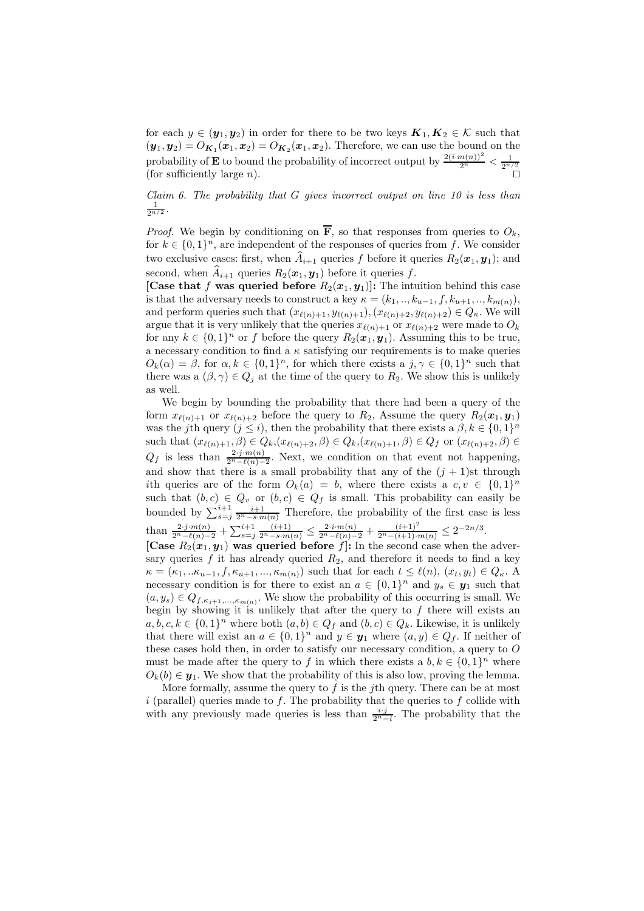for each  $y \in (\mathbf{y}_1, \mathbf{y}_2)$  in order for there to be two keys  $\mathbf{K}_1, \mathbf{K}_2 \in \mathcal{K}$  such that  $(y_1, y_2) = O_{K_1}(x_1, x_2) = O_{K_2}(x_1, x_2)$ . Therefore, we can use the bound on the probability of **E** to bound the probability of incorrect output by  $\frac{2(i-m(n))^2}{2^n} < \frac{1}{2^{n/2}}$ (for sufficiently large *n*). □

Claim 6. The probability that  $G$  gives incorrect output on line 10 is less than  $\frac{1}{2^{n/2}}$ .

*Proof.* We begin by conditioning on  $\overline{F}$ , so that responses from queries to  $O_k$ , for  $k \in \{0,1\}^n$ , are independent of the responses of queries from f. We consider two exclusive cases: first, when  $\widehat{A}_{i+1}$  queries f before it queries  $R_2(\boldsymbol{x}_1, \boldsymbol{y}_1)$ ; and second, when  $A_{i+1}$  queries  $R_2(\boldsymbol{x}_1, \boldsymbol{y}_1)$  before it queries f.

[Case that f was queried before  $R_2(\mathbf{x}_1, \mathbf{y}_1)$ ]: The intuition behind this case is that the adversary needs to construct a key  $\kappa = (k_1, ..., k_{u-1}, f, k_{u+1}, ..., k_{m(n)})$ , and perform queries such that  $(x_{\ell(n)+1}, y_{\ell(n)+1}), (x_{\ell(n)+2}, y_{\ell(n)+2}) \in Q_{\kappa}$ . We will argue that it is very unlikely that the queries  $x_{\ell(n)+1}$  or  $x_{\ell(n)+2}$  were made to  $O_k$ for any  $k \in \{0,1\}^n$  or f before the query  $R_2(\mathbf{x}_1, \mathbf{y}_1)$ . Assuming this to be true, a necessary condition to find a  $\kappa$  satisfying our requirements is to make queries  $O_k(\alpha) = \beta$ , for  $\alpha, k \in \{0,1\}^n$ , for which there exists a  $j, \gamma \in \{0,1\}^n$  such that there was a  $(\beta, \gamma) \in Q_j$  at the time of the query to  $R_2$ . We show this is unlikely as well.

We begin by bounding the probability that there had been a query of the form  $x_{\ell(n)+1}$  or  $x_{\ell(n)+2}$  before the query to  $R_2$ , Assume the query  $R_2(\boldsymbol{x}_1, \boldsymbol{y}_1)$ was the jth query  $(j \leq i)$ , then the probability that there exists a  $\beta, k \in \{0,1\}^n$ such that  $(x_{\ell(n)+1}, \beta) \in Q_k, (x_{\ell(n)+2}, \beta) \in Q_k, (x_{\ell(n)+1}, \beta) \in Q_f$  or  $(x_{\ell(n)+2}, \beta) \in$  $Q_f$  is less than  $\frac{2 \cdot j \cdot m(n)}{2^n - \ell(n)-2}$ . Next, we condition on that event not happening, and show that there is a small probability that any of the  $(j + 1)$ st through ith queries are of the form  $O_k(a) = b$ , where there exists a  $c, v \in \{0, 1\}^n$ such that  $(b, c) \in Q_v$  or  $(b, c) \in Q_f$  is small. This probability can easily be bounded by  $\sum_{s=j}^{i+1} \frac{i+1}{2^n - s \cdot m(n)}$  Therefore, the probability of the first case is less than  $\frac{2 \cdot j \cdot m(n)}{2^n - \ell(n)-2} + \sum_{s=j}^{i+1} \frac{(i+1)}{2^n - s \cdot m(n)} \leq \frac{2 \cdot i \cdot m(n)}{2^n - \ell(n)-2} + \frac{(i+1)^2}{2^n - (i+1) \cdot m(n)} \leq 2^{-2n/3}$ .

[Case  $R_2(x_1, y_1)$  was queried before f]: In the second case when the adversary queries  $f$  it has already queried  $R_2$ , and therefore it needs to find a key  $\kappa = (\kappa_1, \ldots \kappa_{u-1}, f, \kappa_{u+1}, \ldots, \kappa_{m(n)})$  such that for each  $t \leq \ell(n), (x_t, y_t) \in Q_{\kappa}$ . necessary condition is for there to exist an  $a \in \{0,1\}^n$  and  $y_s \in y_1$  such that  $(a, y_s) \in Q_{f, \kappa_{j+1}, \ldots, \kappa_{m(n)}}$ . We show the probability of this occurring is small. We begin by showing it is unlikely that after the query to  $f$  there will exists an  $a, b, c, k \in \{0, 1\}^n$  where both  $(a, b) \in Q_f$  and  $(b, c) \in Q_k$ . Likewise, it is unlikely that there will exist an  $a \in \{0,1\}^n$  and  $y \in \mathbf{y}_1$  where  $(a, y) \in Q_f$ . If neither of these cases hold then, in order to satisfy our necessary condition, a query to O must be made after the query to f in which there exists a  $b, k \in \{0, 1\}^n$  where  $O_k(b) \in \mathbf{y}_1$ . We show that the probability of this is also low, proving the lemma.

More formally, assume the query to  $f$  is the jth query. There can be at most i (parallel) queries made to f. The probability that the queries to f collide with with any previously made queries is less than  $\frac{i \cdot j}{2^n - i}$ . The probability that the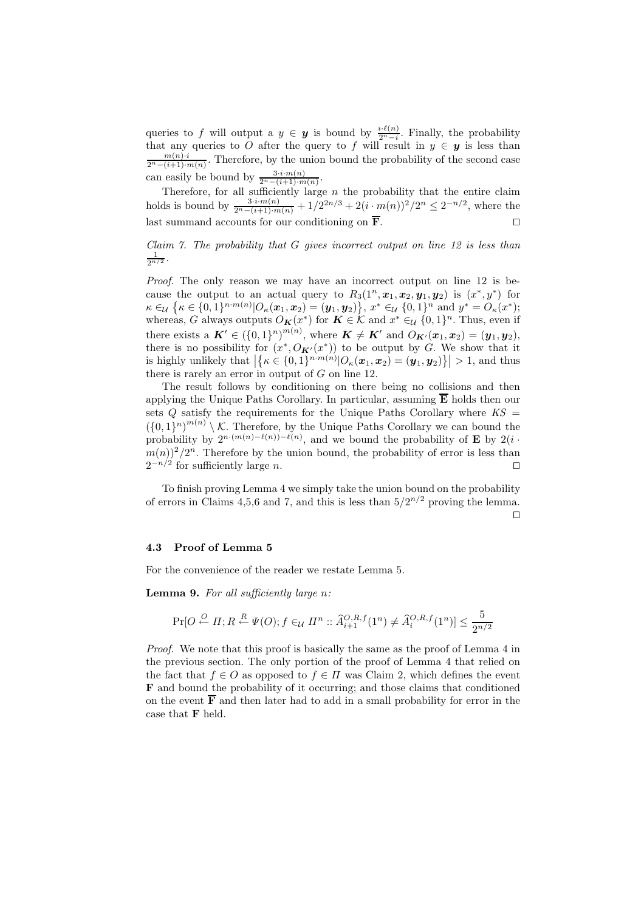queries to f will output a  $y \in y$  is bound by  $\frac{i \cdot \ell(n)}{2^n - i}$ . Finally, the probability that any queries to O after the query to f will result in  $y \in y$  is less than  $\frac{m(n) \cdot i}{2^n - (i+1) \cdot m(n)}$ . Therefore, by the union bound the probability of the second case can easily be bound by  $\frac{3 \cdot i \cdot m(n)}{2^n - (i+1) \cdot m(n)}$ .

Therefore, for all sufficiently large  $n$  the probability that the entire claim holds is bound by  $\frac{3 \cdot i \cdot m(n)}{2^n - (i+1)\cdot m(n)} + 1/2^{2n/3} + 2(i \cdot m(n))^2/2^n \leq 2^{-n/2}$ , where the last summand accounts for our conditioning on  $\overline{F}$ . □

Claim 7. The probability that  $G$  gives incorrect output on line 12 is less than  $\frac{1}{2^{n/2}}$ .

Proof. The only reason we may have an incorrect output on line 12 is because the output to an actual query to  $R_3(1^n, x_1, x_2, y_1, y_2)$  is  $(x^*, y^*)$  for  $\kappa \in_{\mathcal{U}} \{\kappa \in \{0,1\}^{n \cdot m(n)} | O_{\kappa}(\boldsymbol{x}_1, \boldsymbol{x}_2) = (\boldsymbol{y}_1, \boldsymbol{y}_2)\}, \ x^* \in_{\mathcal{U}} \{0,1\}^n \ \text{and} \ y^* = O_{\kappa}(\boldsymbol{x}^*);$ whereas, G always outputs  $O_K(x^*)$  for  $K \in \mathcal{K}$  and  $x^* \in \mathcal{U} \{0,1\}^n$ . Thus, even if there exists a  $\mathbf{K}' \in (\{0,1\}^n)^{m(n)}$ , where  $\mathbf{K} \neq \mathbf{K}'$  and  $O_{\mathbf{K}'}(\boldsymbol{x}_1,\boldsymbol{x}_2) = (\boldsymbol{y}_1,\boldsymbol{y}_2)$ , there is no possibility for  $(x^*, O_{\mathbf{K}'}(x^*))$  to be output by G. We show that it is highly unlikely that  $\left|\left\{\kappa \in \{0,1\}^{n \cdot m(n)} | O_{\kappa}(\boldsymbol{x}_1, \boldsymbol{x}_2) = (\boldsymbol{y}_1, \boldsymbol{y}_2)\right\}\right| > 1$ , and thus there is rarely an error in output of  $G$  on line 12.

The result follows by conditioning on there being no collisions and then applying the Unique Paths Corollary. In particular, assuming  $\overline{E}$  holds then our sets Q satisfy the requirements for the Unique Paths Corollary where  $KS =$  $({0,1}^n)^{m(n)} \setminus \mathcal{K}$ . Therefore, by the Unique Paths Corollary we can bound the probability by  $2^{n \cdot (m(n)-\ell(n))-\ell(n)}$ , and we bound the probability of **E** by  $2(i \cdot$  $(m(n))^{2}/2^{n}$ . Therefore by the union bound, the probability of error is less than  $2^{-n/2}$  for sufficiently large *n*. □

To finish proving Lemma 4 we simply take the union bound on the probability of errors in Claims 4,5,6 and 7, and this is less than  $5/2^{n/2}$  proving the lemma. ⊓⊔

#### 4.3 Proof of Lemma 5

For the convenience of the reader we restate Lemma 5.

**Lemma 9.** For all sufficiently large  $n$ :

$$
\Pr[O \stackrel{O}{\leftarrow} \Pi; R \stackrel{R}{\leftarrow} \Psi(O); f \in_{\mathcal{U}} \Pi^n :: \widehat{A}_{i+1}^{O,R,f}(1^n) \neq \widehat{A}_i^{O,R,f}(1^n)] \leq \frac{5}{2^{n/2}}
$$

*Proof.* We note that this proof is basically the same as the proof of Lemma 4 in the previous section. The only portion of the proof of Lemma 4 that relied on the fact that  $f \in O$  as opposed to  $f \in \Pi$  was Claim 2, which defines the event F and bound the probability of it occurring; and those claims that conditioned on the event  $\overline{F}$  and then later had to add in a small probability for error in the case that F held.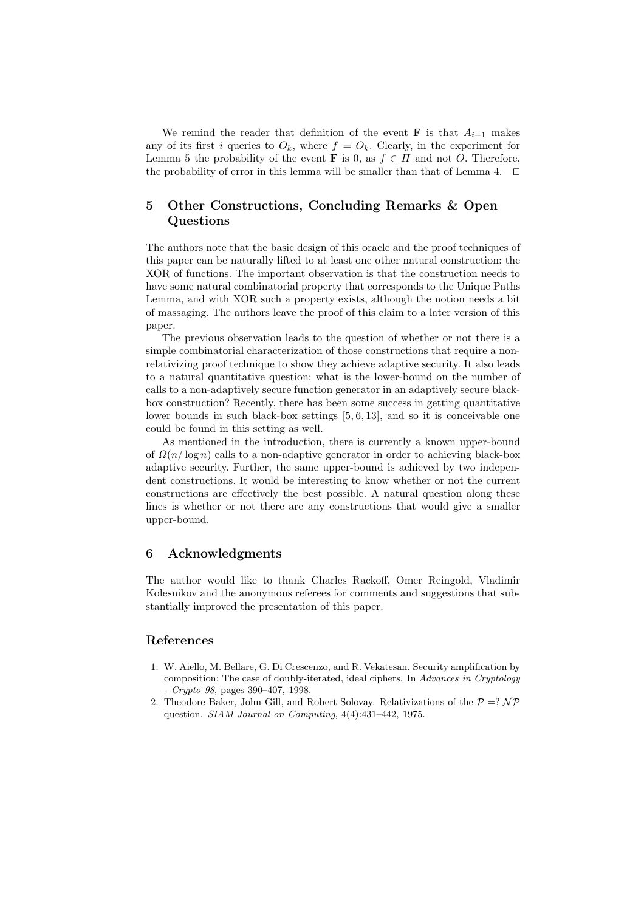We remind the reader that definition of the event **F** is that  $A_{i+1}$  makes any of its first i queries to  $O_k$ , where  $f = O_k$ . Clearly, in the experiment for Lemma 5 the probability of the event **F** is 0, as  $f \in \Pi$  and not O. Therefore, the probability of error in this lemma will be smaller than that of Lemma 4. ⊓⊔

# 5 Other Constructions, Concluding Remarks & Open Questions

The authors note that the basic design of this oracle and the proof techniques of this paper can be naturally lifted to at least one other natural construction: the XOR of functions. The important observation is that the construction needs to have some natural combinatorial property that corresponds to the Unique Paths Lemma, and with XOR such a property exists, although the notion needs a bit of massaging. The authors leave the proof of this claim to a later version of this paper.

The previous observation leads to the question of whether or not there is a simple combinatorial characterization of those constructions that require a nonrelativizing proof technique to show they achieve adaptive security. It also leads to a natural quantitative question: what is the lower-bound on the number of calls to a non-adaptively secure function generator in an adaptively secure blackbox construction? Recently, there has been some success in getting quantitative lower bounds in such black-box settings [5, 6, 13], and so it is conceivable one could be found in this setting as well.

As mentioned in the introduction, there is currently a known upper-bound of  $\Omega(n/\log n)$  calls to a non-adaptive generator in order to achieving black-box adaptive security. Further, the same upper-bound is achieved by two independent constructions. It would be interesting to know whether or not the current constructions are effectively the best possible. A natural question along these lines is whether or not there are any constructions that would give a smaller upper-bound.

## 6 Acknowledgments

The author would like to thank Charles Rackoff, Omer Reingold, Vladimir Kolesnikov and the anonymous referees for comments and suggestions that substantially improved the presentation of this paper.

## References

- 1. W. Aiello, M. Bellare, G. Di Crescenzo, and R. Vekatesan. Security amplification by composition: The case of doubly-iterated, ideal ciphers. In Advances in Cryptology - Crypto 98, pages 390–407, 1998.
- 2. Theodore Baker, John Gill, and Robert Solovay. Relativizations of the  $P = ?N$ question. SIAM Journal on Computing, 4(4):431–442, 1975.